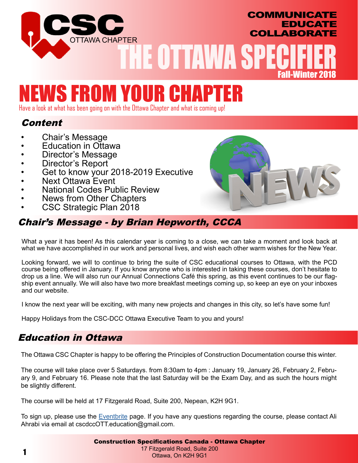

# NEWS FROM YOUR CHA

Have a look at what has been going on with the Ottawa Chapter and what is coming up!

# **Content**

- Chair's Message<br>Education in Ottawa
- 
- 
- 
- Director's Message<br>• Director's Report<br>• Get to know your 2018-2019 Executive<br>• National Codes Public Review<br>• News from Other Chapters<br>• CSC Strategic Plan 2018
- 
- 
- 
- 

# Chair's Message - by Brian Hepworth, CCCA

What a year it has been! As this calendar year is coming to a close, we can take a moment and look back at what we have accomplished in our work and personal lives, and wish each other warm wishes for the New Year.

Looking forward, we will to continue to bring the suite of CSC educational courses to Ottawa, with the PCD course being offered in January. If you know anyone who is interested in taking these courses, don't hesitate to drop us a line. We will also run our Annual Connections Café this spring, as this event continues to be our flagship event annually. We will also have two more breakfast meetings coming up, so keep an eye on your inboxes and our website.

I know the next year will be exciting, with many new projects and changes in this city, so let's have some fun!

Happy Holidays from the CSC-DCC Ottawa Executive Team to you and yours!

# Education in Ottawa

The Ottawa CSC Chapter is happy to be offering the Principles of Construction Documentation course this winter.

The course will take place over 5 Saturdays. from 8:30am to 4pm : January 19, January 26, February 2, February 9, and February 16. Please note that the last Saturday will be the Exam Day, and as such the hours might be slightly different.

The course will be held at 17 Fitzgerald Road, Suite 200, Nepean, K2H 9G1.

To sign up, please use the [Eventbrite](https://www.eventbrite.ca/e/csc-ottawa-education-specifier-course-tickets-53694274019) page. If you have any questions regarding the course, please contact Ali Ahrabi via email at cscdccOTT.education@gmail.com.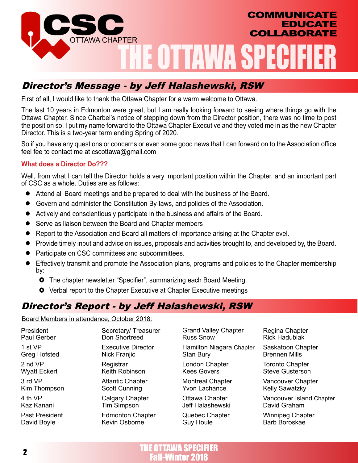

# Director's Message - by Jeff Halashewski, RSW

First of all, I would like to thank the Ottawa Chapter for a warm welcome to Ottawa.

The last 10 years in Edmonton were great, but I am really looking forward to seeing where things go with the Ottawa Chapter. Since Charbel's notice of stepping down from the Director position, there was no time to post the position so, I put my name forward to the Ottawa Chapter Executive and they voted me in as the new Chapter Director. This is a two-year term ending Spring of 2020.

So if you have any questions or concerns or even some good news that I can forward on to the Association office feel fee to contact me at cscottawa@gmail.com

#### **What does a Director Do???**

Well, from what I can tell the Director holds a very important position within the Chapter, and an important part of CSC as a whole. Duties are as follows:

- Attend all Board meetings and be prepared to deal with the business of the Board.
- Govern and administer the Constitution By-laws, and policies of the Association.
- Actively and conscientiously participate in the business and affairs of the Board.
- Serve as liaison between the Board and Chapter members
- Report to the Association and Board all matters of importance arising at the Chapterlevel.
- Provide timely input and advice on issues, proposals and activities brought to, and developed by, the Board.
- Participate on CSC committees and subcommittees.
- Effectively transmit and promote the Association plans, programs and policies to the Chapter membership by:
	- **•** The chapter newsletter "Specifier", summarizing each Board Meeting.
	- **O** Verbal report to the Chapter Executive at Chapter Executive meetings

# Director's Report - by Jeff Halashewski, RSW

Board Members in attendance, October 2018:

President Paul Gerber 1 st VP Greg Hofsted 2 nd VP Wyatt Eckert 3 rd VP Kim Thompson 4 th VP Kaz Kanani Past President David Boyle

Secretary/ Treasurer Don Shortreed

Executive Director Nick Franjic

**Registrar** Keith Robinson

Atlantic Chapter Scott Cunning

Calgary Chapter Tim Simpson

Edmonton Chapter Kevin Osborne

Grand Valley Chapter Russ Snow

Hamilton Niagara Chapter Stan Bury

London Chapter Kees Govers

Montreal Chapter Yvon Lachance

Ottawa Chapter Jeff Halashewski

Quebec Chapter Guy Houle

Regina Chapter Rick Hadubiak

Saskatoon Chapter Brennen Mills

Toronto Chapter Steve Gusterson

Vancouver Chapter Kelly Sawatzky

Vancouver Island Chapter David Graham

Winnipeg Chapter Barb Boroskae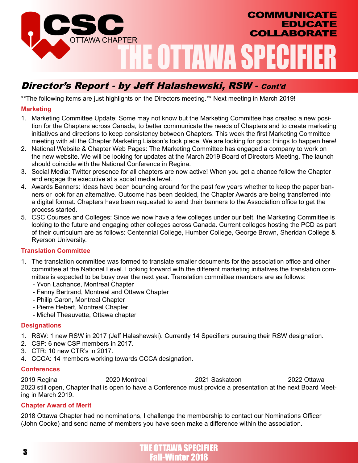

# Director's Report - by Jeff Halashewski, RSW - Cont'd

\*\*The following items are just highlights on the Directors meeting.\*\* Next meeting in March 2019!

#### **Marketing**

- 1. Marketing Committee Update: Some may not know but the Marketing Committee has created a new position for the Chapters across Canada, to better communicate the needs of Chapters and to create marketing initiatives and directions to keep consistency between Chapters. This week the first Marketing Committee meeting with all the Chapter Marketing Liaison's took place. We are looking for good things to happen here!
- 2. National Website & Chapter Web Pages: The Marketing Committee has engaged a company to work on the new website. We will be looking for updates at the March 2019 Board of Directors Meeting. The launch should coincide with the National Conference in Regina.
- 3. Social Media: Twitter presence for all chapters are now active! When you get a chance follow the Chapter and engage the executive at a social media level.
- 4. Awards Banners: Ideas have been bouncing around for the past few years whether to keep the paper banners or look for an alternative. Outcome has been decided, the Chapter Awards are being transferred into a digital format. Chapters have been requested to send their banners to the Association office to get the process started.
- 5. CSC Courses and Colleges: Since we now have a few colleges under our belt, the Marketing Committee is looking to the future and engaging other colleges across Canada. Current colleges hosting the PCD as part of their curriculum are as follows: Centennial College, Humber College, George Brown, Sheridan College & Ryerson University.

#### **Translation Committee**

- 1. The translation committee was formed to translate smaller documents for the association office and other committee at the National Level. Looking forward with the different marketing initiatives the translation committee is expected to be busy over the next year. Translation committee members are as follows:
	- Yvon Lachance, Montreal Chapter
	- Fanny Bertrand, Montreal and Ottawa Chapter
	- Philip Caron, Montreal Chapter
	- Pierre Hebert, Montreal Chapter
	- Michel Theauvette, Ottawa chapter

#### **Designations**

- 1. RSW: 1 new RSW in 2017 (Jeff Halashewski). Currently 14 Specifiers pursuing their RSW designation.
- 2. CSP: 6 new CSP members in 2017.
- 3. CTR: 10 new CTR's in 2017.
- 4. CCCA: 14 members working towards CCCA designation.

#### **Conferences**

2019 Regina 2020 Montreal 2021 Saskatoon 2022 Ottawa 2023 still open, Chapter that is open to have a Conference must provide a presentation at the next Board Meeting in March 2019.

#### **Chapter Award of Merit**

2018 Ottawa Chapter had no nominations, I challenge the membership to contact our Nominations Officer (John Cooke) and send name of members you have seen make a difference within the association.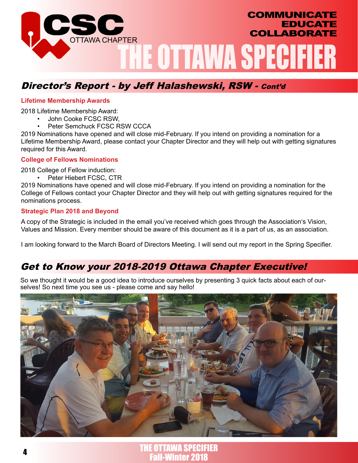

# Director's Report - by Jeff Halashewski, RSW - Cont'd

#### **Lifetime Membership Awards**

2018 Lifetime Membership Award:

- John Cooke FCSC RSW,
- Peter Semchuck FCSC RSW CCCA

2019 Nominations have opened and will close mid-February. If you intend on providing a nomination for a Lifetime Membership Award, please contact your Chapter Director and they will help out with getting signatures required for this Award.

#### **College of Fellows Nominations**

2018 College of Fellow induction:

• Peter Hiebert FCSC, CTR

2019 Nominations have opened and will close mid-February. If you intend on providing a nomination for the College of Fellows contact your Chapter Director and they will help out with getting signatures required for the nominations process.

#### **Strategic Plan 2018 and Beyond**

A copy of the Strategic is included in the email you've received which goes through the Association's Vision, Values and Mission. Every member should be aware of this document as it is a part of us, as an association.

I am looking forward to the March Board of Directors Meeting. I will send out my report in the Spring Specifier.

# Get to Know your 2018-2019 Ottawa Chapter Executive!

So we thought it would be a good idea to introduce ourselves by presenting 3 quick facts about each of ourselves! So next time you see us - please come and say hello!



**-Winter 2018 THE OTTAWA SPECIFIER**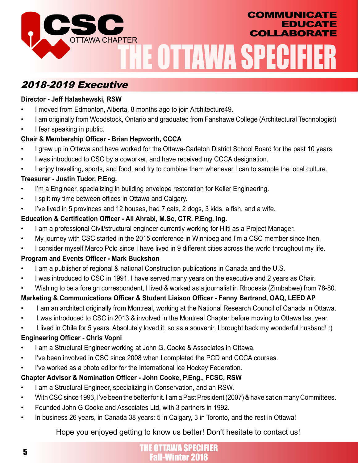

# 2018-2019 Executive

## **Director - Jeff Halashewski, RSW**

- I moved from Edmonton, Alberta, 8 months ago to join Architecture49.
- I am originally from Woodstock, Ontario and graduated from Fanshawe College (Architectural Technologist)
- I fear speaking in public.

## **Chair & Membership Officer - Brian Hepworth, CCCA**

- I grew up in Ottawa and have worked for the Ottawa-Carleton District School Board for the past 10 years.
- I was introduced to CSC by a coworker, and have received my CCCA designation.
- I enjoy travelling, sports, and food, and try to combine them whenever I can to sample the local culture.

## **Treasurer - Justin Tudor, P.Eng.**

- I'm a Engineer, specializing in building envelope restoration for Keller Engineering.
- I split my time between offices in Ottawa and Calgary.
- I've lived in 5 provinces and 12 houses, had 7 cats, 2 dogs, 3 kids, a fish, and a wife.

## **Education & Certification Officer - Ali Ahrabi, M.Sc, CTR, P.Eng. ing.**

- I am a professional Civil/structural engineer currently working for Hilti as a Project Manager.
- My journey with CSC started in the 2015 conference in Winnipeg and I'm a CSC member since then.
- I consider myself Marco Polo since I have lived in 9 different cities across the world throughout my life.

## **Program and Events Officer - Mark Buckshon**

- I am a publisher of regional & national Construction publications in Canada and the U.S.
- I was introduced to CSC in 1991. I have served many years on the executive and 2 years as Chair.
- Wishing to be a foreign correspondent, I lived & worked as a journalist in Rhodesia (Zimbabwe) from 78-80.

## **Marketing & Communications Officer & Student Liaison Officer - Fanny Bertrand, OAQ, LEED AP**

- I am an architect originally from Montreal, working at the National Research Council of Canada in Ottawa.
- I was introduced to CSC in 2013 & involved in the Montreal Chapter before moving to Ottawa last year.
- I lived in Chile for 5 years. Absolutely loved it, so as a souvenir, I brought back my wonderful husband! :)

## **Engineering Officer - Chris Vopni**

- I am a Structural Engineer working at John G. Cooke & Associates in Ottawa.
- I've been involved in CSC since 2008 when I completed the PCD and CCCA courses.
- I've worked as a photo editor for the International Ice Hockey Federation.

## **Chapter Advisor & Nomination Officer - John Cooke, P.Eng., FCSC, RSW**

- I am a Structural Engineer, specializing in Conservation, and an RSW.
- With CSC since 1993, I've been the better for it. I am a Past President (2007) & have sat on many Committees.
- Founded John G Cooke and Associates Ltd, with 3 partners in 1992.
- In business 26 years, in Canada 38 years: 5 in Calgary, 3 in Toronto, and the rest in Ottawa!

## Hope you enjoyed getting to know us better! Don't hesitate to contact us!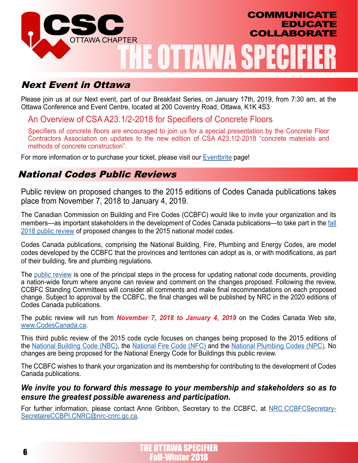

## Next Event in Ottawa

Please join us at our Next event, part of our Breakfast Series, on January 17th, 2019, from 7:30 am, at the Ottawa Conference and Event Centre, located at 200 Coventry Road, Ottawa, K1K 4S3

## An Overview of CSA A23.1/2-2018 for Specifiers of Concrete Floors

Specifiers of concrete floors are encouraged to join us for a special presentation by the Concrete Floor Contractors Association on updates to the new edition of CSA A23.1/2-2018 "concrete materials and methods of concrete construction".

For more information or to purchase your ticket, please visit our **Eventbrite** page!

## National Codes Public Reviews

Public review on proposed changes to the 2015 editions of Codes Canada publications takes place from November 7, 2018 to January 4, 2019.

The Canadian Commission on Building and Fire Codes (CCBFC) would like to invite your organization and its members—as important stakeholders in the development of Codes Canada publications—to take part in the [fall](https://www.nrc-cnrc.gc.ca/eng/solutions/advisory/codes_centre/public_review/2018.html) [2018 public review](https://www.nrc-cnrc.gc.ca/eng/solutions/advisory/codes_centre/public_review/2018.html) of proposed changes to the 2015 national model codes.

Codes Canada publications, comprising the National Building, Fire, Plumbing and Energy Codes, are model codes developed by the CCBFC that the provinces and territories can adopt as is, or with modifications, as part of their building, fire and plumbing regulations.

The [public review](https://www.nrc-cnrc.gc.ca/eng/solutions/advisory/codes_centre/public_review/2018.html) is one of the principal steps in the process for updating national code documents, providing a nation-wide forum where anyone can review and comment on the changes proposed. Following the review, CCBFC Standing Committees will consider all comments and make final recommendations on each proposed change. Subject to approval by the CCBFC, the final changes will be published by NRC in the 2020 editions of Codes Canada publications.

The public review will run from *November 7, 2018 to January 4, 2019* on the Codes Canada Web site, [www.CodesCanada.ca](https://www.nrc-cnrc.gc.ca/codescanada/index.html).

This third public review of the 2015 code cycle focuses on changes being proposed to the 2015 editions of the [National Building Code \(NBC\)](https://www.nrc-cnrc.gc.ca/eng/publications/codes_centre/2015_national_building_code.html), the [National Fire Code \(NFC\)](https://www.nrc-cnrc.gc.ca/eng/publications/codes_centre/2015_national_fire_code.html) and the [National Plumbing Codes \(NPC\)](https://www.nrc-cnrc.gc.ca/eng/publications/codes_centre/2015_national_plumbing_code.html). No changes are being proposed for the National Energy Code for Buildings this public review.

The CCBFC wishes to thank your organization and its membership for contributing to the development of Codes Canada publications.

## *We invite you to forward this message to your membership and stakeholders so as to ensure the greatest possible awareness and participation.*

For further information, please contact Anne Gribbon, Secretary to the CCBFC, at [NRC.CCBFCSecretary-](mailto:NRC.CCBFCSecretary-%20SecretaireCCBPI.CNRC%40nrc-cnrc.gc.ca?subject=)[SecretaireCCBPI.CNRC@nrc-cnrc.gc.ca](mailto:NRC.CCBFCSecretary-%20SecretaireCCBPI.CNRC%40nrc-cnrc.gc.ca?subject=).